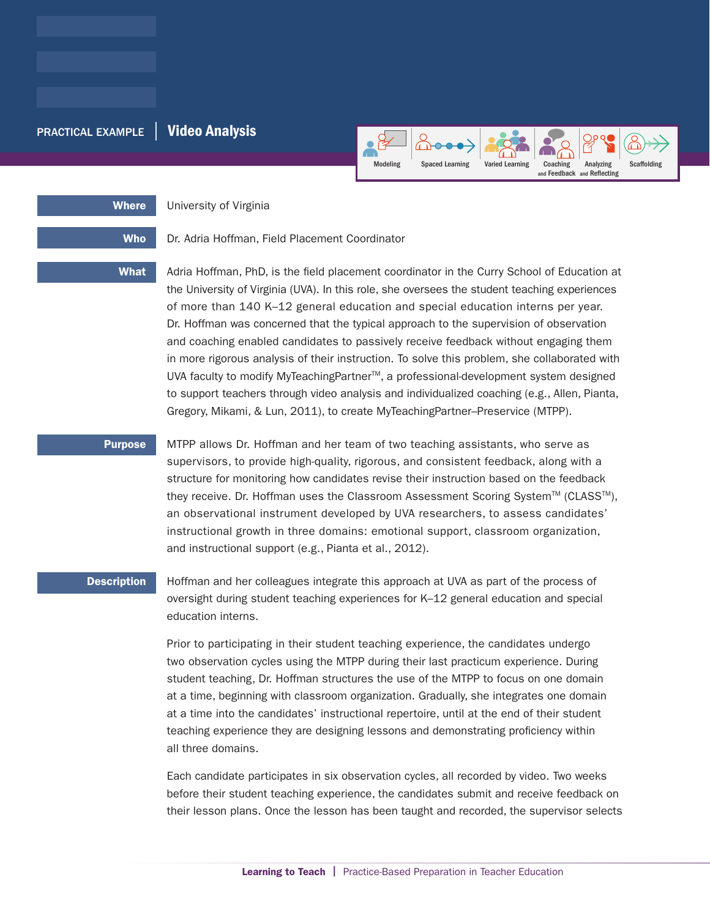## PRACTICAL EXAMPLE | Video Analysis



Where **University of Virginia** 

Who Dr. Adria Hoffman, Field Placement Coordinator

What Adria Hoffman, PhD, is the field placement coordinator in the Curry School of Education at the University of Virginia (UVA). In this role, she oversees the student teaching experiences of more than 140 K–12 general education and special education interns per year. Dr. Hoffman was concerned that the typical approach to the supervision of observation and coaching enabled candidates to passively receive feedback without engaging them in more rigorous analysis of their instruction. To solve this problem, she collaborated with UVA faculty to modify MyTeachingPartner™, a professional-development system designed to support teachers through video analysis and individualized coaching (e.g., Allen, Pianta, Gregory, Mikami, & Lun, 2011), to create MyTeachingPartner–Preservice (MTPP).

**Purpose** MTPP allows Dr. Hoffman and her team of two teaching assistants, who serve as supervisors, to provide high-quality, rigorous, and consistent feedback, along with a structure for monitoring how candidates revise their instruction based on the feedback they receive. Dr. Hoffman uses the Classroom Assessment Scoring System™ (CLASS™), an observational instrument developed by UVA researchers, to assess candidates' instructional growth in three domains: emotional support, classroom organization, and instructional support (e.g., Pianta et al., 2012).

**Description** Hoffman and her colleagues integrate this approach at UVA as part of the process of oversight during student teaching experiences for K–12 general education and special education interns.

> Prior to participating in their student teaching experience, the candidates undergo two observation cycles using the MTPP during their last practicum experience. During student teaching, Dr. Hoffman structures the use of the MTPP to focus on one domain at a time, beginning with classroom organization. Gradually, she integrates one domain at a time into the candidates' instructional repertoire, until at the end of their student teaching experience they are designing lessons and demonstrating proficiency within all three domains.

Each candidate participates in six observation cycles, all recorded by video. Two weeks before their student teaching experience, the candidates submit and receive feedback on their lesson plans. Once the lesson has been taught and recorded, the supervisor selects